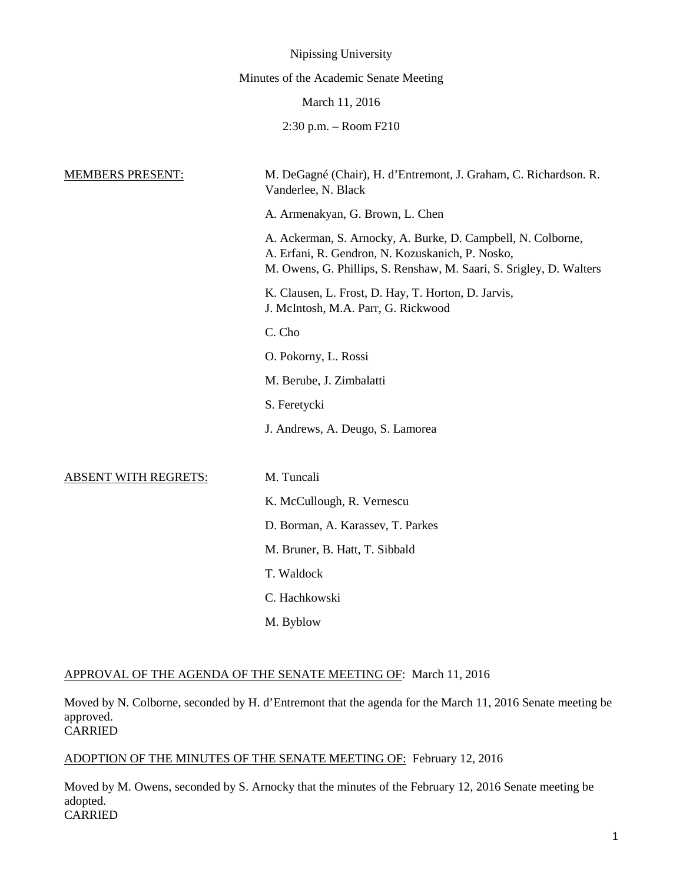|                             | Nipissing University                                                                                                                                                                    |
|-----------------------------|-----------------------------------------------------------------------------------------------------------------------------------------------------------------------------------------|
|                             | Minutes of the Academic Senate Meeting                                                                                                                                                  |
|                             | March 11, 2016                                                                                                                                                                          |
|                             | $2:30$ p.m. $-$ Room F210                                                                                                                                                               |
| <b>MEMBERS PRESENT:</b>     | M. DeGagné (Chair), H. d'Entremont, J. Graham, C. Richardson. R.<br>Vanderlee, N. Black                                                                                                 |
|                             | A. Armenakyan, G. Brown, L. Chen                                                                                                                                                        |
|                             | A. Ackerman, S. Arnocky, A. Burke, D. Campbell, N. Colborne,<br>A. Erfani, R. Gendron, N. Kozuskanich, P. Nosko,<br>M. Owens, G. Phillips, S. Renshaw, M. Saari, S. Srigley, D. Walters |
|                             | K. Clausen, L. Frost, D. Hay, T. Horton, D. Jarvis,<br>J. McIntosh, M.A. Parr, G. Rickwood                                                                                              |
|                             | C. Cho                                                                                                                                                                                  |
|                             | O. Pokorny, L. Rossi                                                                                                                                                                    |
|                             | M. Berube, J. Zimbalatti                                                                                                                                                                |
|                             | S. Feretycki                                                                                                                                                                            |
|                             | J. Andrews, A. Deugo, S. Lamorea                                                                                                                                                        |
| <b>ABSENT WITH REGRETS:</b> | M. Tuncali                                                                                                                                                                              |
|                             | K. McCullough, R. Vernescu                                                                                                                                                              |
|                             | D. Borman, A. Karassev, T. Parkes                                                                                                                                                       |
|                             | M. Bruner, B. Hatt, T. Sibbald                                                                                                                                                          |
|                             | T. Waldock                                                                                                                                                                              |
|                             | C. Hachkowski                                                                                                                                                                           |
|                             | M. Byblow                                                                                                                                                                               |
|                             |                                                                                                                                                                                         |

## APPROVAL OF THE AGENDA OF THE SENATE MEETING OF: March 11, 2016

Moved by N. Colborne, seconded by H. d'Entremont that the agenda for the March 11, 2016 Senate meeting be approved. CARRIED

# ADOPTION OF THE MINUTES OF THE SENATE MEETING OF: February 12, 2016

Moved by M. Owens, seconded by S. Arnocky that the minutes of the February 12, 2016 Senate meeting be adopted. CARRIED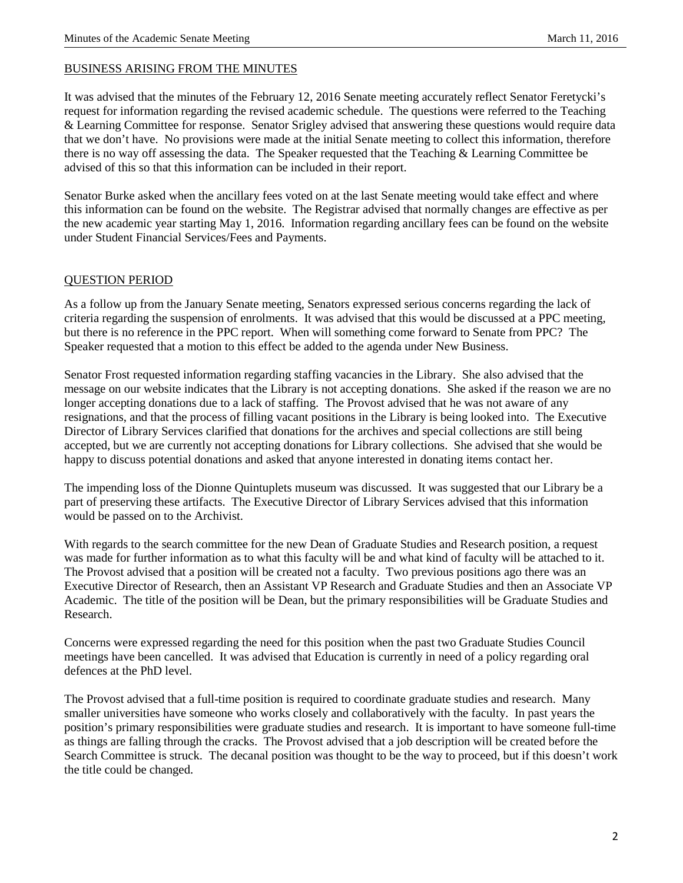## BUSINESS ARISING FROM THE MINUTES

It was advised that the minutes of the February 12, 2016 Senate meeting accurately reflect Senator Feretycki's request for information regarding the revised academic schedule. The questions were referred to the Teaching & Learning Committee for response. Senator Srigley advised that answering these questions would require data that we don't have. No provisions were made at the initial Senate meeting to collect this information, therefore there is no way off assessing the data. The Speaker requested that the Teaching & Learning Committee be advised of this so that this information can be included in their report.

Senator Burke asked when the ancillary fees voted on at the last Senate meeting would take effect and where this information can be found on the website. The Registrar advised that normally changes are effective as per the new academic year starting May 1, 2016. Information regarding ancillary fees can be found on the website under Student Financial Services/Fees and Payments.

## QUESTION PERIOD

As a follow up from the January Senate meeting, Senators expressed serious concerns regarding the lack of criteria regarding the suspension of enrolments. It was advised that this would be discussed at a PPC meeting, but there is no reference in the PPC report. When will something come forward to Senate from PPC? The Speaker requested that a motion to this effect be added to the agenda under New Business.

Senator Frost requested information regarding staffing vacancies in the Library. She also advised that the message on our website indicates that the Library is not accepting donations. She asked if the reason we are no longer accepting donations due to a lack of staffing. The Provost advised that he was not aware of any resignations, and that the process of filling vacant positions in the Library is being looked into. The Executive Director of Library Services clarified that donations for the archives and special collections are still being accepted, but we are currently not accepting donations for Library collections. She advised that she would be happy to discuss potential donations and asked that anyone interested in donating items contact her.

The impending loss of the Dionne Quintuplets museum was discussed. It was suggested that our Library be a part of preserving these artifacts. The Executive Director of Library Services advised that this information would be passed on to the Archivist.

With regards to the search committee for the new Dean of Graduate Studies and Research position, a request was made for further information as to what this faculty will be and what kind of faculty will be attached to it. The Provost advised that a position will be created not a faculty. Two previous positions ago there was an Executive Director of Research, then an Assistant VP Research and Graduate Studies and then an Associate VP Academic. The title of the position will be Dean, but the primary responsibilities will be Graduate Studies and Research.

Concerns were expressed regarding the need for this position when the past two Graduate Studies Council meetings have been cancelled. It was advised that Education is currently in need of a policy regarding oral defences at the PhD level.

The Provost advised that a full-time position is required to coordinate graduate studies and research. Many smaller universities have someone who works closely and collaboratively with the faculty. In past years the position's primary responsibilities were graduate studies and research. It is important to have someone full-time as things are falling through the cracks. The Provost advised that a job description will be created before the Search Committee is struck. The decanal position was thought to be the way to proceed, but if this doesn't work the title could be changed.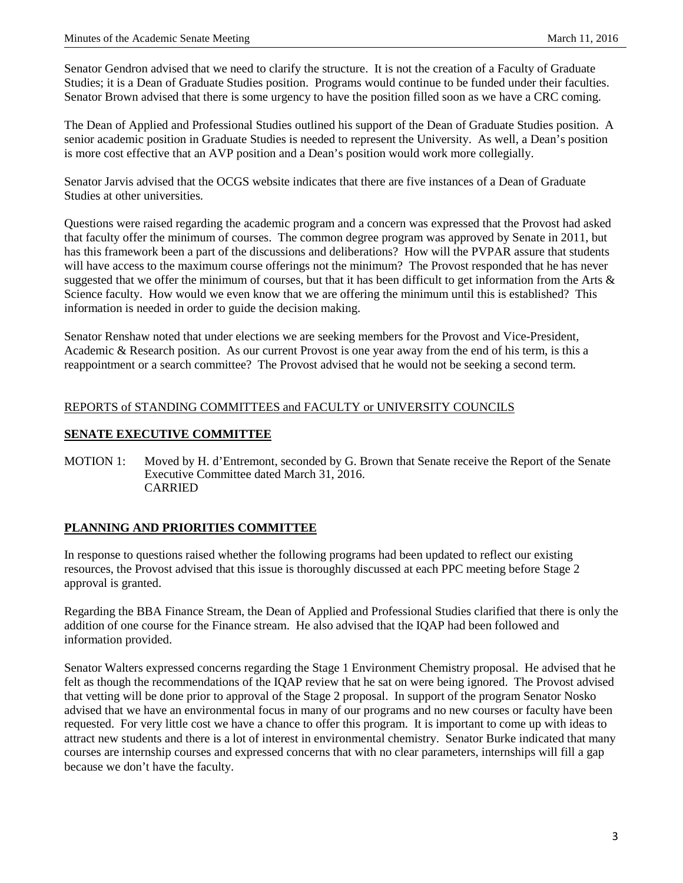Senator Gendron advised that we need to clarify the structure. It is not the creation of a Faculty of Graduate Studies; it is a Dean of Graduate Studies position. Programs would continue to be funded under their faculties. Senator Brown advised that there is some urgency to have the position filled soon as we have a CRC coming.

The Dean of Applied and Professional Studies outlined his support of the Dean of Graduate Studies position. A senior academic position in Graduate Studies is needed to represent the University. As well, a Dean's position is more cost effective that an AVP position and a Dean's position would work more collegially.

Senator Jarvis advised that the OCGS website indicates that there are five instances of a Dean of Graduate Studies at other universities.

Questions were raised regarding the academic program and a concern was expressed that the Provost had asked that faculty offer the minimum of courses. The common degree program was approved by Senate in 2011, but has this framework been a part of the discussions and deliberations? How will the PVPAR assure that students will have access to the maximum course offerings not the minimum? The Provost responded that he has never suggested that we offer the minimum of courses, but that it has been difficult to get information from the Arts  $\&$ Science faculty. How would we even know that we are offering the minimum until this is established? This information is needed in order to guide the decision making.

Senator Renshaw noted that under elections we are seeking members for the Provost and Vice-President, Academic & Research position. As our current Provost is one year away from the end of his term, is this a reappointment or a search committee? The Provost advised that he would not be seeking a second term.

## REPORTS of STANDING COMMITTEES and FACULTY or UNIVERSITY COUNCILS

## **SENATE EXECUTIVE COMMITTEE**

MOTION 1: Moved by H. d'Entremont, seconded by G. Brown that Senate receive the Report of the Senate Executive Committee dated March 31, 2016. CARRIED

# **PLANNING AND PRIORITIES COMMITTEE**

In response to questions raised whether the following programs had been updated to reflect our existing resources, the Provost advised that this issue is thoroughly discussed at each PPC meeting before Stage 2 approval is granted.

Regarding the BBA Finance Stream, the Dean of Applied and Professional Studies clarified that there is only the addition of one course for the Finance stream. He also advised that the IQAP had been followed and information provided.

Senator Walters expressed concerns regarding the Stage 1 Environment Chemistry proposal. He advised that he felt as though the recommendations of the IQAP review that he sat on were being ignored. The Provost advised that vetting will be done prior to approval of the Stage 2 proposal. In support of the program Senator Nosko advised that we have an environmental focus in many of our programs and no new courses or faculty have been requested. For very little cost we have a chance to offer this program. It is important to come up with ideas to attract new students and there is a lot of interest in environmental chemistry. Senator Burke indicated that many courses are internship courses and expressed concerns that with no clear parameters, internships will fill a gap because we don't have the faculty.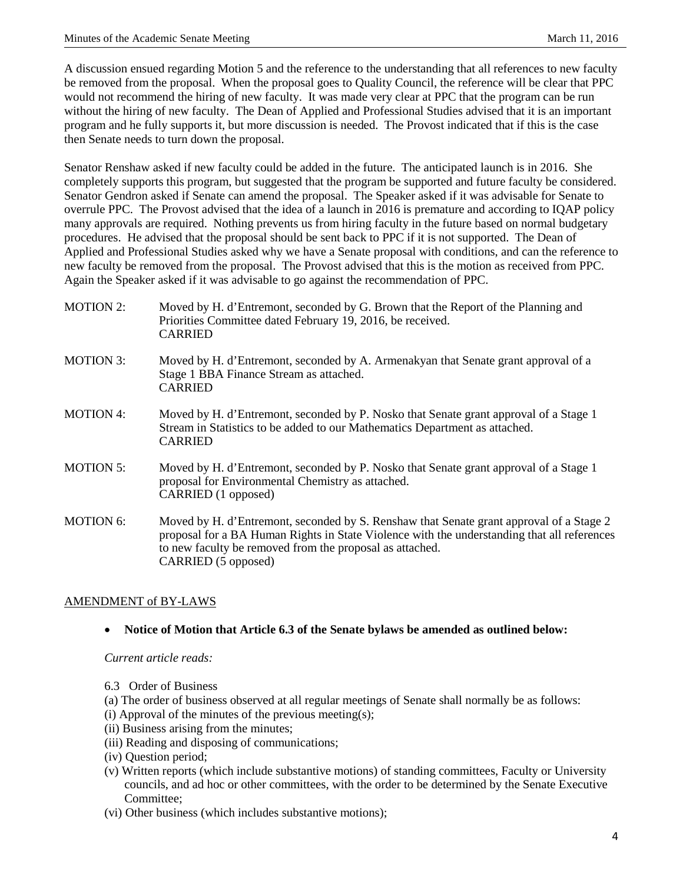A discussion ensued regarding Motion 5 and the reference to the understanding that all references to new faculty be removed from the proposal. When the proposal goes to Quality Council, the reference will be clear that PPC would not recommend the hiring of new faculty. It was made very clear at PPC that the program can be run without the hiring of new faculty. The Dean of Applied and Professional Studies advised that it is an important program and he fully supports it, but more discussion is needed. The Provost indicated that if this is the case then Senate needs to turn down the proposal.

Senator Renshaw asked if new faculty could be added in the future. The anticipated launch is in 2016. She completely supports this program, but suggested that the program be supported and future faculty be considered. Senator Gendron asked if Senate can amend the proposal. The Speaker asked if it was advisable for Senate to overrule PPC. The Provost advised that the idea of a launch in 2016 is premature and according to IQAP policy many approvals are required. Nothing prevents us from hiring faculty in the future based on normal budgetary procedures. He advised that the proposal should be sent back to PPC if it is not supported. The Dean of Applied and Professional Studies asked why we have a Senate proposal with conditions, and can the reference to new faculty be removed from the proposal. The Provost advised that this is the motion as received from PPC. Again the Speaker asked if it was advisable to go against the recommendation of PPC.

- MOTION 2: Moved by H. d'Entremont, seconded by G. Brown that the Report of the Planning and Priorities Committee dated February 19, 2016, be received. CARRIED
- MOTION 3: Moved by H. d'Entremont, seconded by A. Armenakyan that Senate grant approval of a Stage 1 BBA Finance Stream as attached. CARRIED
- MOTION 4: Moved by H. d'Entremont, seconded by P. Nosko that Senate grant approval of a Stage 1 Stream in Statistics to be added to our Mathematics Department as attached. CARRIED
- MOTION 5: Moved by H. d'Entremont, seconded by P. Nosko that Senate grant approval of a Stage 1 proposal for Environmental Chemistry as attached. CARRIED (1 opposed)
- MOTION 6: Moved by H. d'Entremont, seconded by S. Renshaw that Senate grant approval of a Stage 2 proposal for a BA Human Rights in State Violence with the understanding that all references to new faculty be removed from the proposal as attached. CARRIED (5 opposed)

# AMENDMENT of BY-LAWS

## • **Notice of Motion that Article 6.3 of the Senate bylaws be amended as outlined below:**

*Current article reads:*

- 6.3 Order of Business
- (a) The order of business observed at all regular meetings of Senate shall normally be as follows:
- $(i)$  Approval of the minutes of the previous meeting(s);
- (ii) Business arising from the minutes;
- (iii) Reading and disposing of communications;
- (iv) Question period;
- (v) Written reports (which include substantive motions) of standing committees, Faculty or University councils, and ad hoc or other committees, with the order to be determined by the Senate Executive Committee;
- (vi) Other business (which includes substantive motions);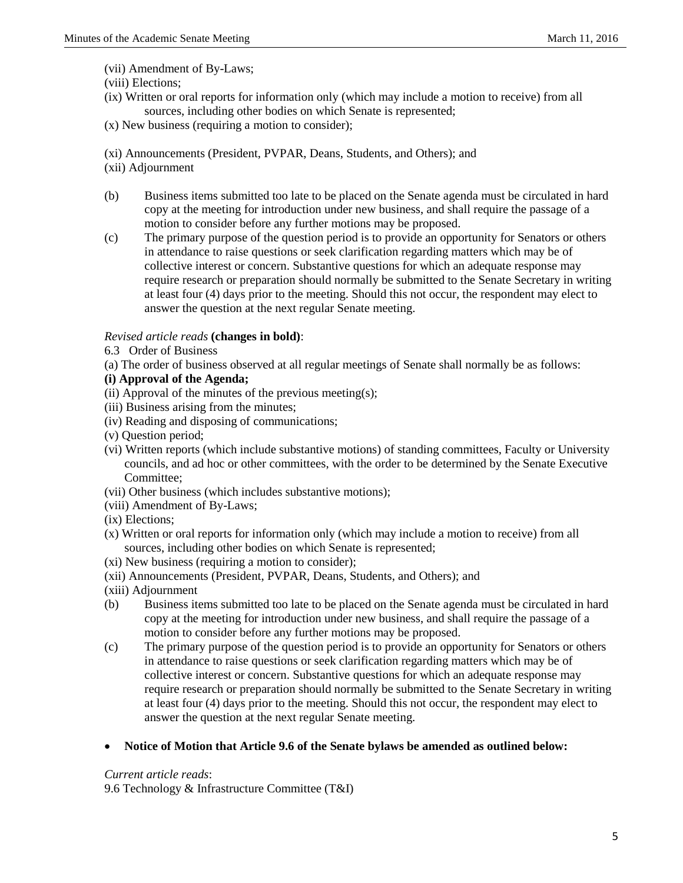- (vii) Amendment of By-Laws;
- (viii) Elections;
- (ix) Written or oral reports for information only (which may include a motion to receive) from all sources, including other bodies on which Senate is represented;
- (x) New business (requiring a motion to consider);
- (xi) Announcements (President, PVPAR, Deans, Students, and Others); and
- (xii) Adjournment
- (b) Business items submitted too late to be placed on the Senate agenda must be circulated in hard copy at the meeting for introduction under new business, and shall require the passage of a motion to consider before any further motions may be proposed.
- (c) The primary purpose of the question period is to provide an opportunity for Senators or others in attendance to raise questions or seek clarification regarding matters which may be of collective interest or concern. Substantive questions for which an adequate response may require research or preparation should normally be submitted to the Senate Secretary in writing at least four (4) days prior to the meeting. Should this not occur, the respondent may elect to answer the question at the next regular Senate meeting.

#### *Revised article reads* **(changes in bold)**:

- 6.3 Order of Business
- (a) The order of business observed at all regular meetings of Senate shall normally be as follows:
- **(i) Approval of the Agenda;**
- (ii) Approval of the minutes of the previous meeting(s);
- (iii) Business arising from the minutes;
- (iv) Reading and disposing of communications;
- (v) Question period;
- (vi) Written reports (which include substantive motions) of standing committees, Faculty or University councils, and ad hoc or other committees, with the order to be determined by the Senate Executive Committee;
- (vii) Other business (which includes substantive motions);
- (viii) Amendment of By-Laws;
- (ix) Elections;
- (x) Written or oral reports for information only (which may include a motion to receive) from all sources, including other bodies on which Senate is represented;
- (xi) New business (requiring a motion to consider);
- (xii) Announcements (President, PVPAR, Deans, Students, and Others); and
- (xiii) Adjournment
- (b) Business items submitted too late to be placed on the Senate agenda must be circulated in hard copy at the meeting for introduction under new business, and shall require the passage of a motion to consider before any further motions may be proposed.
- (c) The primary purpose of the question period is to provide an opportunity for Senators or others in attendance to raise questions or seek clarification regarding matters which may be of collective interest or concern. Substantive questions for which an adequate response may require research or preparation should normally be submitted to the Senate Secretary in writing at least four (4) days prior to the meeting. Should this not occur, the respondent may elect to answer the question at the next regular Senate meeting.

#### • **Notice of Motion that Article 9.6 of the Senate bylaws be amended as outlined below:**

*Current article reads*:

9.6 Technology & Infrastructure Committee (T&I)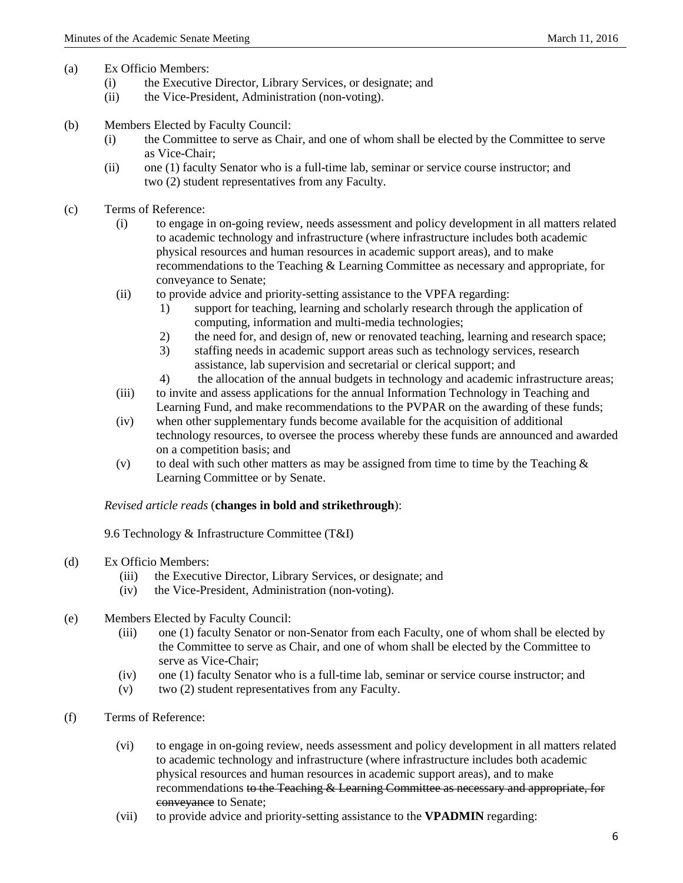- (a) Ex Officio Members:
	- (i) the Executive Director, Library Services, or designate; and
	- (ii) the Vice-President, Administration (non-voting).
- (b) Members Elected by Faculty Council:
	- (i) the Committee to serve as Chair, and one of whom shall be elected by the Committee to serve as Vice-Chair;
	- (ii) one (1) faculty Senator who is a full-time lab, seminar or service course instructor; and two (2) student representatives from any Faculty.
- (c) Terms of Reference:
	- (i) to engage in on-going review, needs assessment and policy development in all matters related to academic technology and infrastructure (where infrastructure includes both academic physical resources and human resources in academic support areas), and to make recommendations to the Teaching & Learning Committee as necessary and appropriate, for conveyance to Senate;
	- (ii) to provide advice and priority-setting assistance to the VPFA regarding:
		- 1) support for teaching, learning and scholarly research through the application of computing, information and multi-media technologies;
		- 2) the need for, and design of, new or renovated teaching, learning and research space;
		- 3) staffing needs in academic support areas such as technology services, research assistance, lab supervision and secretarial or clerical support; and
		- 4) the allocation of the annual budgets in technology and academic infrastructure areas;
	- (iii) to invite and assess applications for the annual Information Technology in Teaching and Learning Fund, and make recommendations to the PVPAR on the awarding of these funds;
	- (iv) when other supplementary funds become available for the acquisition of additional technology resources, to oversee the process whereby these funds are announced and awarded on a competition basis; and
	- (v) to deal with such other matters as may be assigned from time to time by the Teaching  $\&$ Learning Committee or by Senate.

# *Revised article reads* (**changes in bold and strikethrough**):

9.6 Technology & Infrastructure Committee (T&I)

- (d) Ex Officio Members:
	- (iii) the Executive Director, Library Services, or designate; and
	- (iv) the Vice-President, Administration (non-voting).
- (e) Members Elected by Faculty Council:
	- (iii) one (1) faculty Senator or non-Senator from each Faculty, one of whom shall be elected by the Committee to serve as Chair, and one of whom shall be elected by the Committee to serve as Vice-Chair;
	- (iv) one (1) faculty Senator who is a full-time lab, seminar or service course instructor; and
	- (v) two (2) student representatives from any Faculty.
- (f) Terms of Reference:
	- (vi) to engage in on-going review, needs assessment and policy development in all matters related to academic technology and infrastructure (where infrastructure includes both academic physical resources and human resources in academic support areas), and to make recommendations to the Teaching & Learning Committee as necessary and appropriate, for conveyance to Senate;
	- (vii) to provide advice and priority-setting assistance to the **VPADMIN** regarding: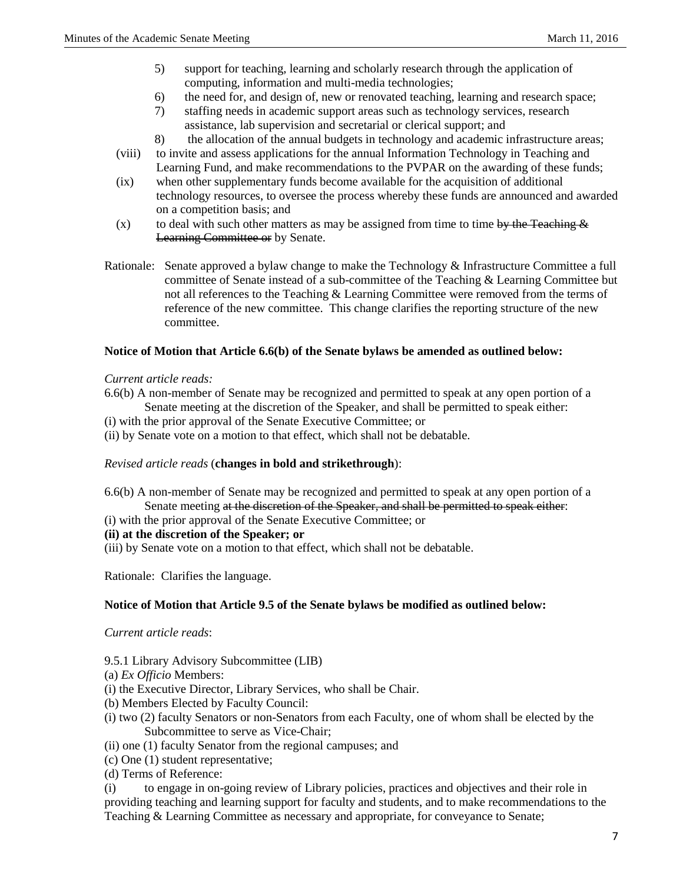- 5) support for teaching, learning and scholarly research through the application of computing, information and multi-media technologies;
- 6) the need for, and design of, new or renovated teaching, learning and research space;
- 7) staffing needs in academic support areas such as technology services, research assistance, lab supervision and secretarial or clerical support; and
- 8) the allocation of the annual budgets in technology and academic infrastructure areas;
- (viii) to invite and assess applications for the annual Information Technology in Teaching and Learning Fund, and make recommendations to the PVPAR on the awarding of these funds;
- (ix) when other supplementary funds become available for the acquisition of additional technology resources, to oversee the process whereby these funds are announced and awarded on a competition basis; and
- $(x)$  to deal with such other matters as may be assigned from time to time by the Teaching  $\&$ Learning Committee or by Senate.
- Rationale: Senate approved a bylaw change to make the Technology & Infrastructure Committee a full committee of Senate instead of a sub-committee of the Teaching & Learning Committee but not all references to the Teaching & Learning Committee were removed from the terms of reference of the new committee. This change clarifies the reporting structure of the new committee.

## **Notice of Motion that Article 6.6(b) of the Senate bylaws be amended as outlined below:**

#### *Current article reads:*

- 6.6(b) A non-member of Senate may be recognized and permitted to speak at any open portion of a Senate meeting at the discretion of the Speaker, and shall be permitted to speak either:
- (i) with the prior approval of the Senate Executive Committee; or
- (ii) by Senate vote on a motion to that effect, which shall not be debatable.

## *Revised article reads* (**changes in bold and strikethrough**):

- 6.6(b) A non-member of Senate may be recognized and permitted to speak at any open portion of a Senate meeting at the discretion of the Speaker, and shall be permitted to speak either:
- (i) with the prior approval of the Senate Executive Committee; or

## **(ii) at the discretion of the Speaker; or**

(iii) by Senate vote on a motion to that effect, which shall not be debatable.

Rationale: Clarifies the language.

## **Notice of Motion that Article 9.5 of the Senate bylaws be modified as outlined below:**

## *Current article reads*:

- 9.5.1 Library Advisory Subcommittee (LIB)
- (a) *Ex Officio* Members:
- (i) the Executive Director, Library Services, who shall be Chair.
- (b) Members Elected by Faculty Council:
- (i) two (2) faculty Senators or non-Senators from each Faculty, one of whom shall be elected by the Subcommittee to serve as Vice-Chair;
- (ii) one (1) faculty Senator from the regional campuses; and
- (c) One (1) student representative;
- (d) Terms of Reference:

(i) to engage in on-going review of Library policies, practices and objectives and their role in providing teaching and learning support for faculty and students, and to make recommendations to the Teaching & Learning Committee as necessary and appropriate, for conveyance to Senate;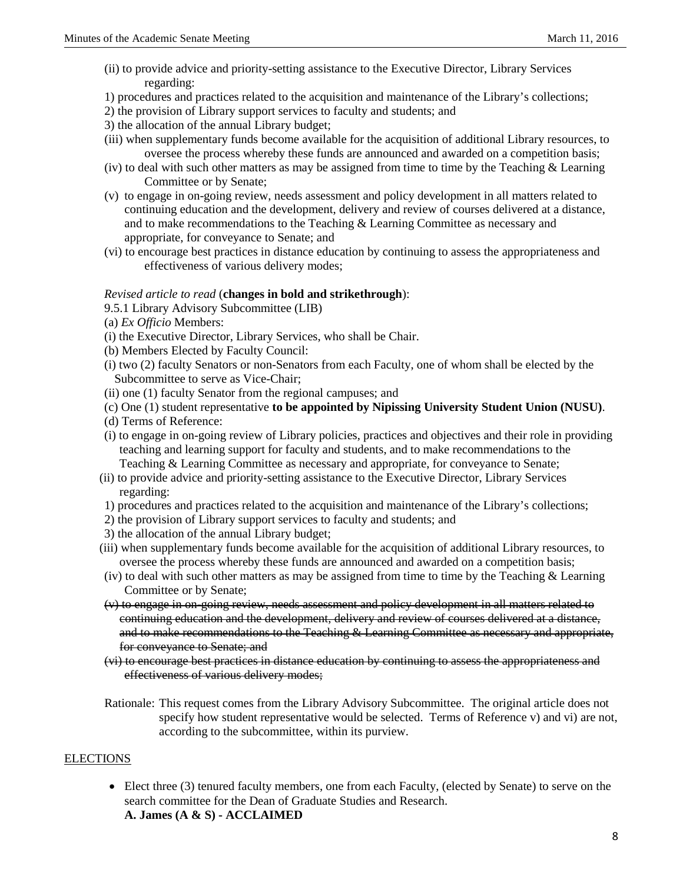- (ii) to provide advice and priority-setting assistance to the Executive Director, Library Services regarding:
- 1) procedures and practices related to the acquisition and maintenance of the Library's collections;
- 2) the provision of Library support services to faculty and students; and
- 3) the allocation of the annual Library budget;
- (iii) when supplementary funds become available for the acquisition of additional Library resources, to oversee the process whereby these funds are announced and awarded on a competition basis;
- (iv) to deal with such other matters as may be assigned from time to time by the Teaching & Learning Committee or by Senate;
- (v) to engage in on-going review, needs assessment and policy development in all matters related to continuing education and the development, delivery and review of courses delivered at a distance, and to make recommendations to the Teaching  $&$  Learning Committee as necessary and appropriate, for conveyance to Senate; and
- (vi) to encourage best practices in distance education by continuing to assess the appropriateness and effectiveness of various delivery modes;

#### *Revised article to read* (**changes in bold and strikethrough**):

- 9.5.1 Library Advisory Subcommittee (LIB)
- (a) *Ex Officio* Members:
- (i) the Executive Director, Library Services, who shall be Chair.
- (b) Members Elected by Faculty Council:
- (i) two (2) faculty Senators or non-Senators from each Faculty, one of whom shall be elected by the Subcommittee to serve as Vice-Chair;
- (ii) one (1) faculty Senator from the regional campuses; and
- (c) One (1) student representative **to be appointed by Nipissing University Student Union (NUSU)**.
- (d) Terms of Reference:
- (i) to engage in on-going review of Library policies, practices and objectives and their role in providing teaching and learning support for faculty and students, and to make recommendations to the Teaching & Learning Committee as necessary and appropriate, for conveyance to Senate;
- (ii) to provide advice and priority-setting assistance to the Executive Director, Library Services regarding:
- 1) procedures and practices related to the acquisition and maintenance of the Library's collections;
- 2) the provision of Library support services to faculty and students; and
- 3) the allocation of the annual Library budget;
- (iii) when supplementary funds become available for the acquisition of additional Library resources, to oversee the process whereby these funds are announced and awarded on a competition basis;
- (iv) to deal with such other matters as may be assigned from time to time by the Teaching & Learning Committee or by Senate;
- (v) to engage in on-going review, needs assessment and policy development in all matters related to continuing education and the development, delivery and review of courses delivered at a distance, and to make recommendations to the Teaching & Learning Committee as necessary and appropriate, for conveyance to Senate; and
- (vi) to encourage best practices in distance education by continuing to assess the appropriateness and effectiveness of various delivery modes;
- Rationale: This request comes from the Library Advisory Subcommittee. The original article does not specify how student representative would be selected. Terms of Reference v) and vi) are not, according to the subcommittee, within its purview.

#### **ELECTIONS**

• Elect three (3) tenured faculty members, one from each Faculty, (elected by Senate) to serve on the search committee for the Dean of Graduate Studies and Research. **A. James (A & S) - ACCLAIMED**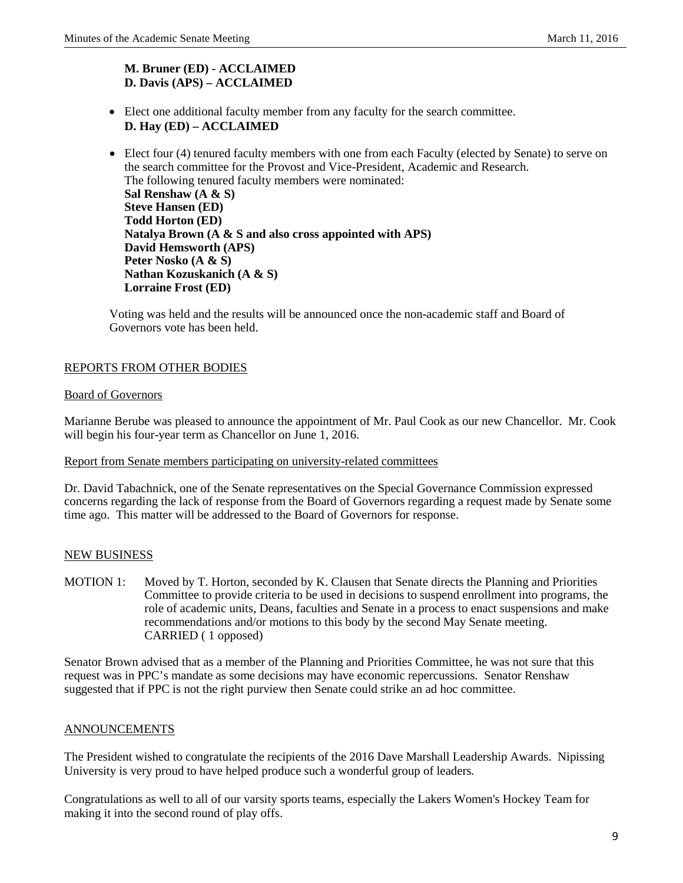# **M. Bruner (ED) - ACCLAIMED D. Davis (APS) – ACCLAIMED**

- Elect one additional faculty member from any faculty for the search committee. **D. Hay (ED) – ACCLAIMED**
- Elect four (4) tenured faculty members with one from each Faculty (elected by Senate) to serve on the search committee for the Provost and Vice-President, Academic and Research. The following tenured faculty members were nominated: **Sal Renshaw (A & S) Steve Hansen (ED) Todd Horton (ED) Natalya Brown (A & S and also cross appointed with APS) David Hemsworth (APS) Peter Nosko (A & S) Nathan Kozuskanich (A & S) Lorraine Frost (ED)**

Voting was held and the results will be announced once the non-academic staff and Board of Governors vote has been held.

# REPORTS FROM OTHER BODIES

#### Board of Governors

Marianne Berube was pleased to announce the appointment of Mr. Paul Cook as our new Chancellor. Mr. Cook will begin his four-year term as Chancellor on June 1, 2016.

#### Report from Senate members participating on university-related committees

Dr. David Tabachnick, one of the Senate representatives on the Special Governance Commission expressed concerns regarding the lack of response from the Board of Governors regarding a request made by Senate some time ago. This matter will be addressed to the Board of Governors for response.

## NEW BUSINESS

MOTION 1: Moved by T. Horton, seconded by K. Clausen that Senate directs the Planning and Priorities Committee to provide criteria to be used in decisions to suspend enrollment into programs, the role of academic units, Deans, faculties and Senate in a process to enact suspensions and make recommendations and/or motions to this body by the second May Senate meeting. CARRIED ( 1 opposed)

Senator Brown advised that as a member of the Planning and Priorities Committee, he was not sure that this request was in PPC's mandate as some decisions may have economic repercussions. Senator Renshaw suggested that if PPC is not the right purview then Senate could strike an ad hoc committee.

## ANNOUNCEMENTS

The President wished to congratulate the recipients of the 2016 Dave Marshall Leadership Awards. Nipissing University is very proud to have helped produce such a wonderful group of leaders.

Congratulations as well to all of our varsity sports teams, especially the Lakers Women's Hockey Team for making it into the second round of play offs.